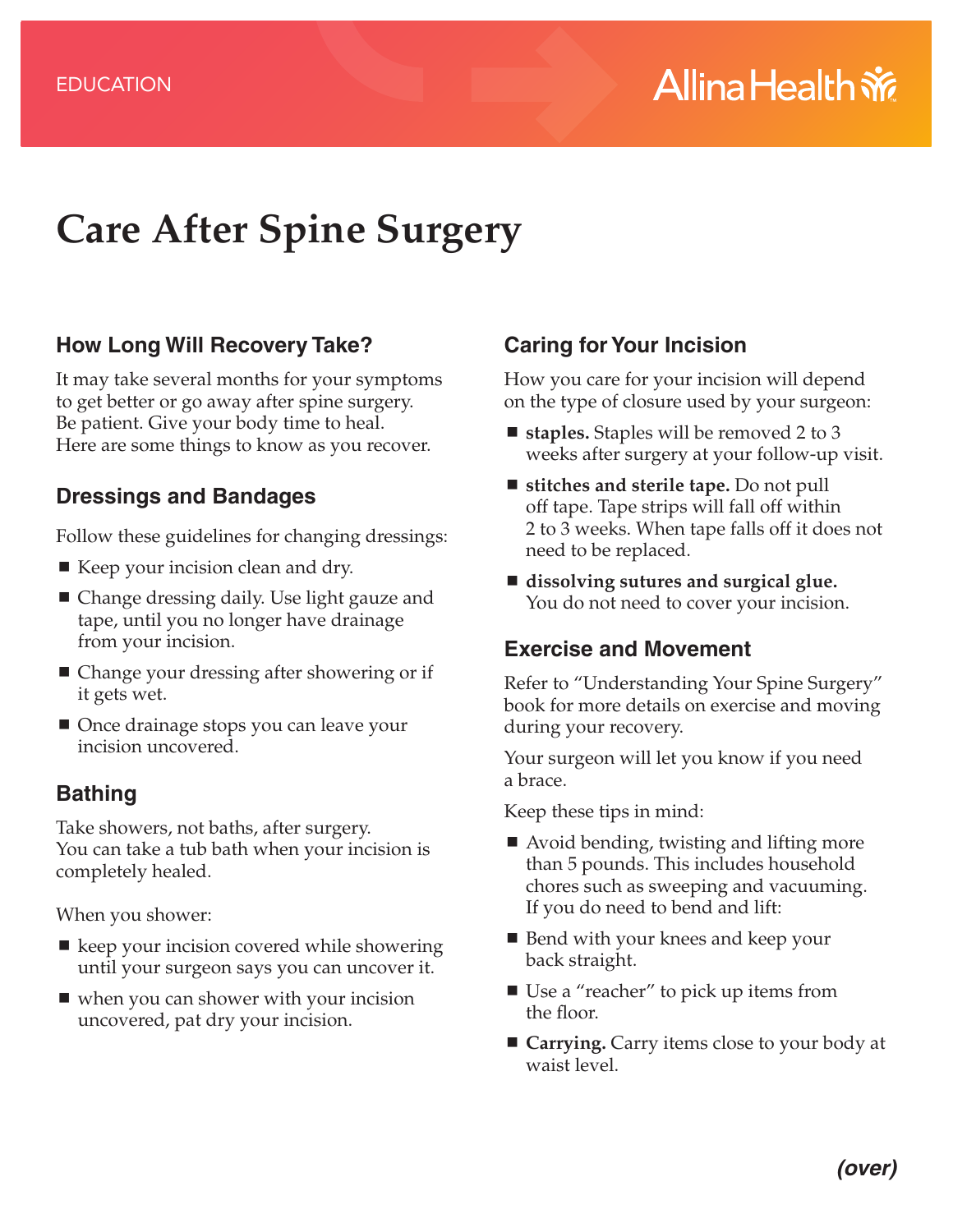# **Care After Spine Surgery**

#### **How Long Will Recovery Take?**

It may take several months for your symptoms to get better or go away after spine surgery. Be patient. Give your body time to heal. Here are some things to know as you recover.

#### **Dressings and Bandages**

Follow these guidelines for changing dressings:

- Keep your incision clean and dry.
- Change dressing daily. Use light gauze and tape, until you no longer have drainage from your incision.
- Change your dressing after showering or if it gets wet.
- Once drainage stops you can leave your incision uncovered.

# **Bathing**

Take showers, not baths, after surgery. You can take a tub bath when your incision is completely healed.

When you shower:

- keep your incision covered while showering until your surgeon says you can uncover it.
- when you can shower with your incision uncovered, pat dry your incision.

# **Caring for Your Incision**

How you care for your incision will depend on the type of closure used by your surgeon:

- staples. Staples will be removed 2 to 3 weeks after surgery at your follow-up visit.
- **stitches and sterile tape.** Do not pull off tape. Tape strips will fall off within 2 to 3 weeks. When tape falls off it does not need to be replaced.
- **dissolving sutures and surgical glue.**  You do not need to cover your incision.

### **Exercise and Movement**

Refer to "Understanding Your Spine Surgery" book for more details on exercise and moving during your recovery.

Your surgeon will let you know if you need a brace.

Keep these tips in mind:

- Avoid bending, twisting and lifting more than 5 pounds. This includes household chores such as sweeping and vacuuming. If you do need to bend and lift:
- $\blacksquare$  Bend with your knees and keep your back straight.
- Use a "reacher" to pick up items from the floor.
- **Carrying.** Carry items close to your body at waist level.